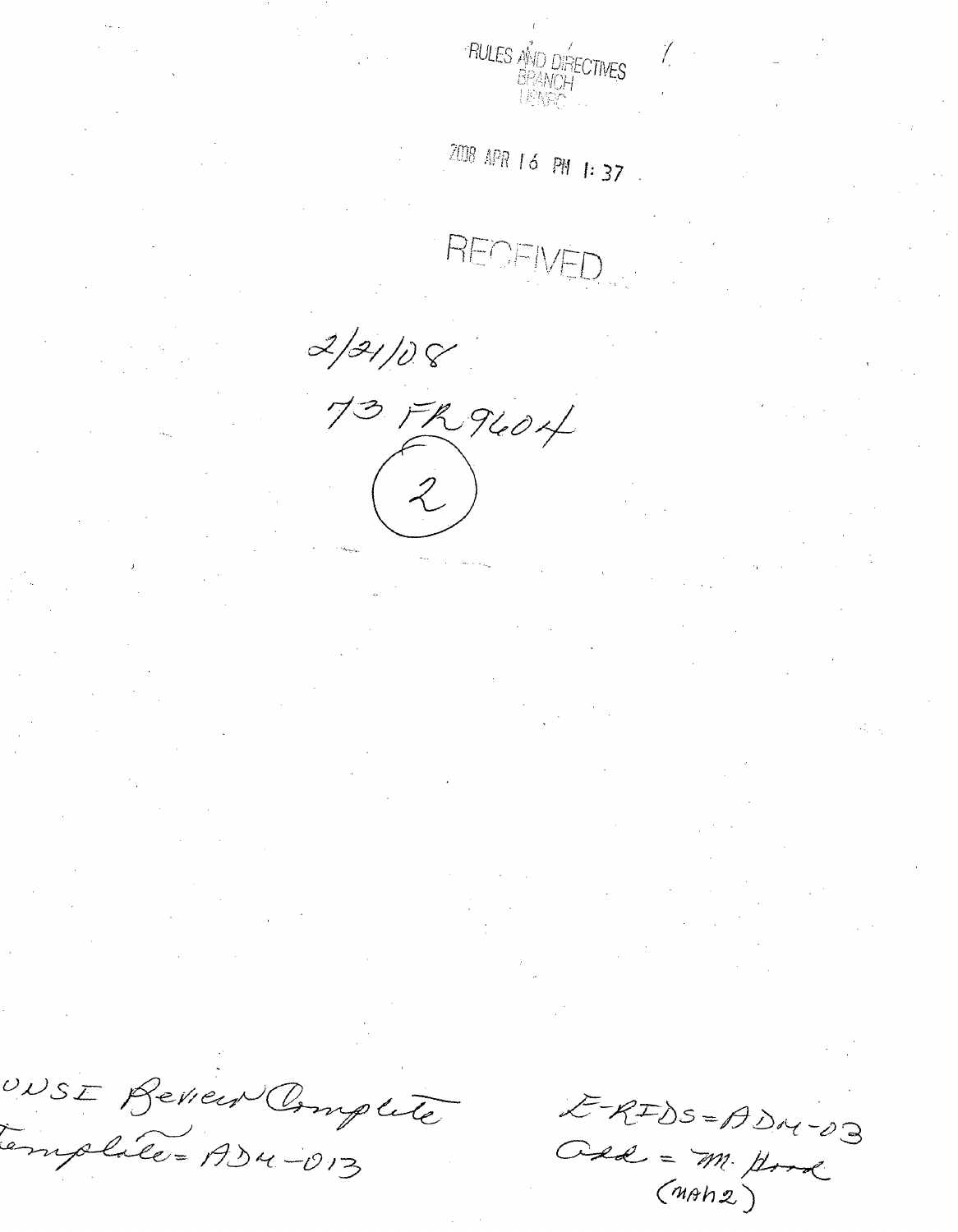

 $2008$  APR 16 PM 1:37.

REDEIV

 $2/31/08$ 73 FR 9604

ERIDS=ADM-03 Ose = m. Hord

UNSE Beview Complete Emplate = ADM-013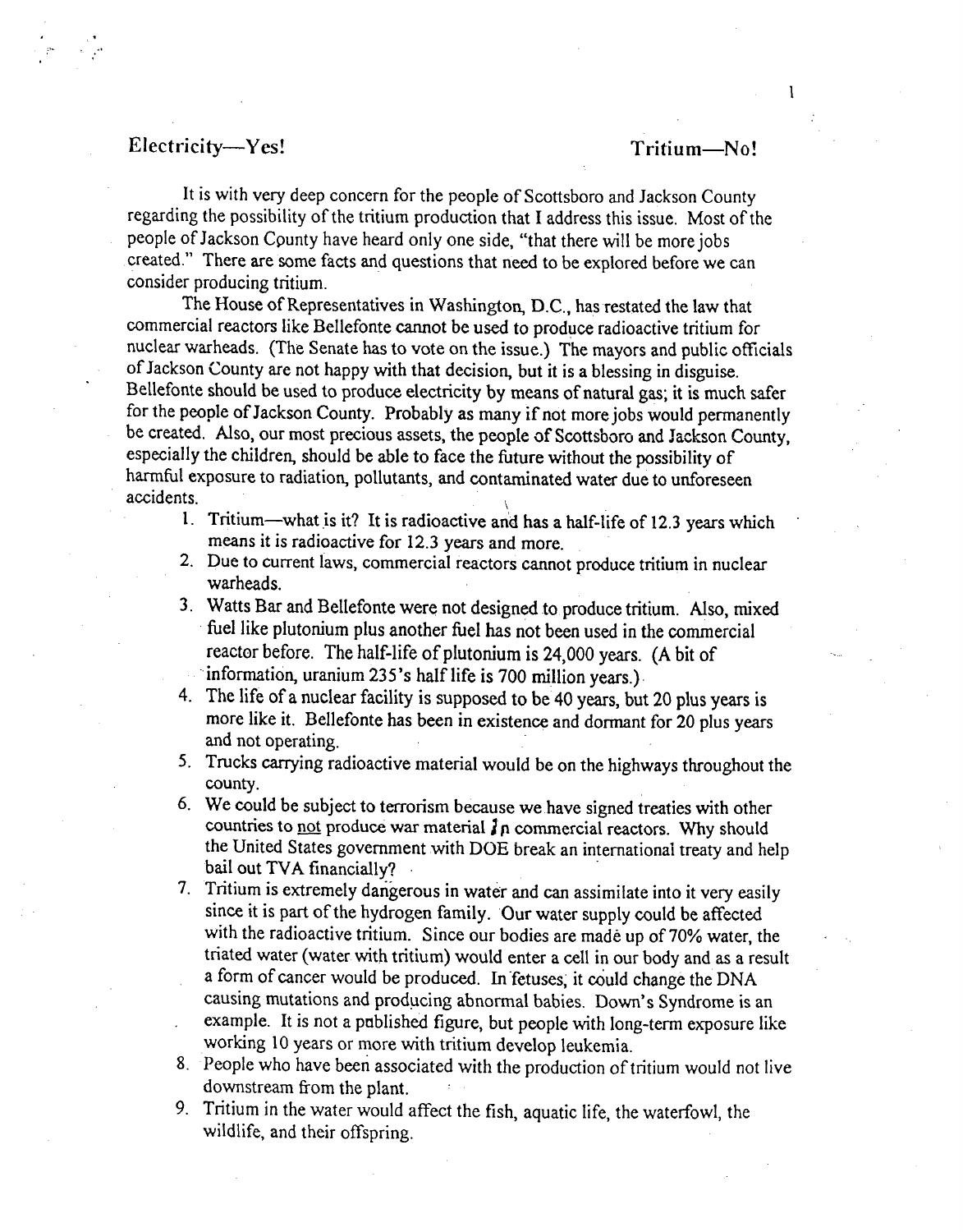## Electricity-Yes! Tritium-No!

It is with very deep concern for the people of Scottsboro and Jackson County regarding the possibility of the tritium production that I address this issue. Most of the people of Jackson Cpunty have heard only one side, "that there will be more jobs created." There are some facts and questions that need to be explored before we can consider producing tritium.

The House of Representatives in Washington, D.C., has restated the law that commercial reactors like Bellefonte cannot be used to produce radioactive tritium for nuclear warheads. (The Senate has to vote on the issue.) The mayors and public officials of Jackson County are not happy with that decision, but it is a blessing in disguise. Bellefonte should be used to produce electricity by means of natural gas; it is much safer for the people of Jackson County. Probably as many if not more jobs would permanently be created. Also, our most precious assets, the people of Scottsboro and Jackson County, especially the children, should be able to face the future without the possibility of harmful exposure to radiation, pollutants, and contaminated water due to unforeseen accidents.

- **I.** Tritium-what is it? It is radioactive and has a half-life of 12.3 years which means it is radioactive for 12.3 years and more.
- 2. Due to current laws, commercial reactors cannot produce tritium in nuclear warheads.
- 3. Watts Bar and Bellefonte were not designed to produce tritium. Also, mixed fuel like plutonium plus another fuel has not been used in the commercial reactor before. The half-life of plutonium is 24,000 years. (A bit of information, uranium 235's half life is 700 million years.).
- 4. The life of a nuclear facility is supposed to be 40 years, but 20 plus years is more like it. Bellefonte has been in existence and dormant for 20 plus years and not operating.
- 5. Trucks carrying radioactive material would be on the highways throughout the county.
- 6. We could be subject to terrorism because we have signed treaties with other countries to not produce war material  $\mathbf{j}_0$  commercial reactors. Why should the United States government with DOE break an international treaty and help bail out TVA financially?
- 7. Tritium is extremely dan'gerous in water and can assimilate into it very easily since it is part of the hydrogen family. Our water supply could be affected with the radioactive tritium. Since our bodies are made up of 70% water, the triated water (water with tritium) would enter a cell in our body and as a result a form of cancer would be produced. In fetuses, it could change the DNA causing mutations and producing abnormal babies. Down's Syndrome is an example. It is not a published figure, but people with long-term exposure like working 10 years or more with tritium develop leukemia.
- 8. People who have been associated with the production of tritium would not live downstream from the plant.
- 9. Tritium in the water would affect the fish, aquatic life, the waterfowl, the wildlife, and their offspring.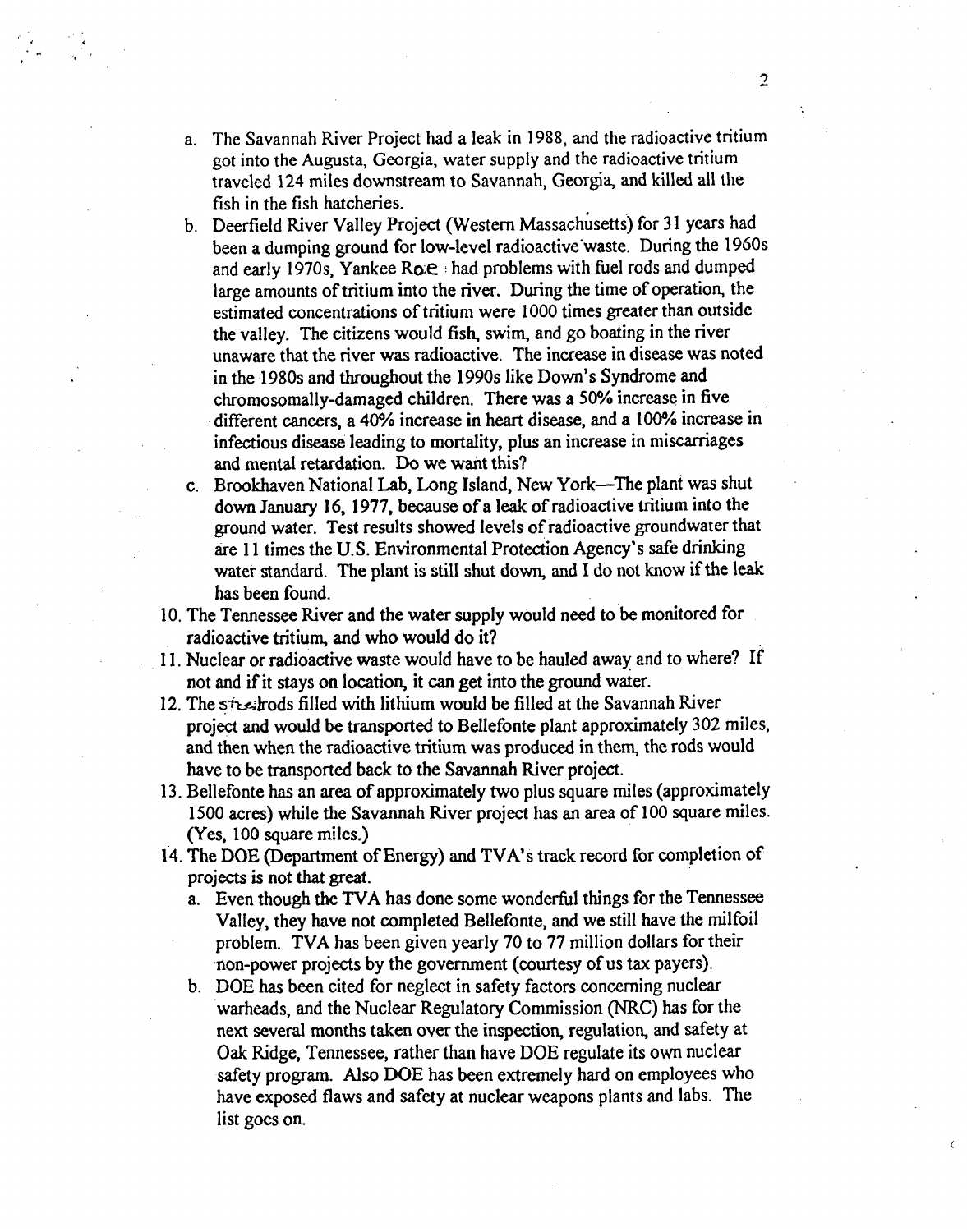- a. The Savannah River Project had a leak in 1988, and the radioactive tritium got into the Augusta, Georgia, water supply and the radioactive tritium traveled 124 miles downstream to Savannah, Georgia, and killed all the fish in the fish hatcheries.
- b. Deerfield River Valley Project (Western Massachusetts) for 31 years had been a dumping ground for low-level radioactive'waste. During the 1960s and early 1970s, Yankee Ro $e \cdot$  had problems with fuel rods and dumped large amounts of tritium into the river. During the time of operation, the estimated concentrations of tritium were 1000 times greater than outside the valley. The citizens would fish, swim, and go boating in the river unaware that the river was radioactive. The increase in disease was noted in the 1980s and throughout the 1990s like Down's Syndrome and chromosomally-damaged children. There was a 50% increase in five different cancers, a **400/o** increase in heart disease, and a 100% increase in infectious disease leading to mortality, plus an increase in miscarriages and mental retardation. Do we want this?
- c. Brookhaven National Lab, Long Island, New York-The plant was shut down January 16, 1977, because of a leak of radioactive tritium into the ground water. Test results showed levels of radioactive groundwater that are 11 times the U.S. Environmental Protection Agency's safe drinking water standard. The plant is still shut down, and I do not know if the leak has been found.
- 10. The Tennessee River and the water supply would need to be monitored for radioactive tritium, and who would do it?
- 11. Nuclear or radioactive waste would have to be hauled away and to where? If not and if it stays on location, it can get into the ground water.
- 12. The steel rods filled with lithium would be filled at the Savannah River project and would be transported to Bellefonte plant approximately 302 miles, and then when the radioactive tritium was produced in them, the rods would have to be transported back to the Savannah River project.
- 13. Bellefonte has an area of approximately two plus square miles (approximately 1500 acres) while the Savannah River project has an area of 100 square miles. (Yes, 100 square miles.)
- 14. The DOE (Department of Energy) and TVA's track record for completion of projects is not that great.
	- a. Even though the TVA has done some wonderful things for the Tennessee Valley, they have not completed Bellefonte, and we still have the milfoil problem. TVA has been given yearly 70 to 77 million dollars for their non-power projects by the government (courtesy of us tax payers).
	- b. DOE has been cited for neglect in safety factors concerning nuclear warheads, and the Nuclear Regulatory Commission (NRC) has for the next several months taken over the inspection, regulation, and safety at Oak Ridge, Tennessee, rather than have DOE regulate its own nuclear safety program. Also DOE has been extremely hard on employees who have exposed flaws and safety at nuclear weapons plants and labs. The list goes on.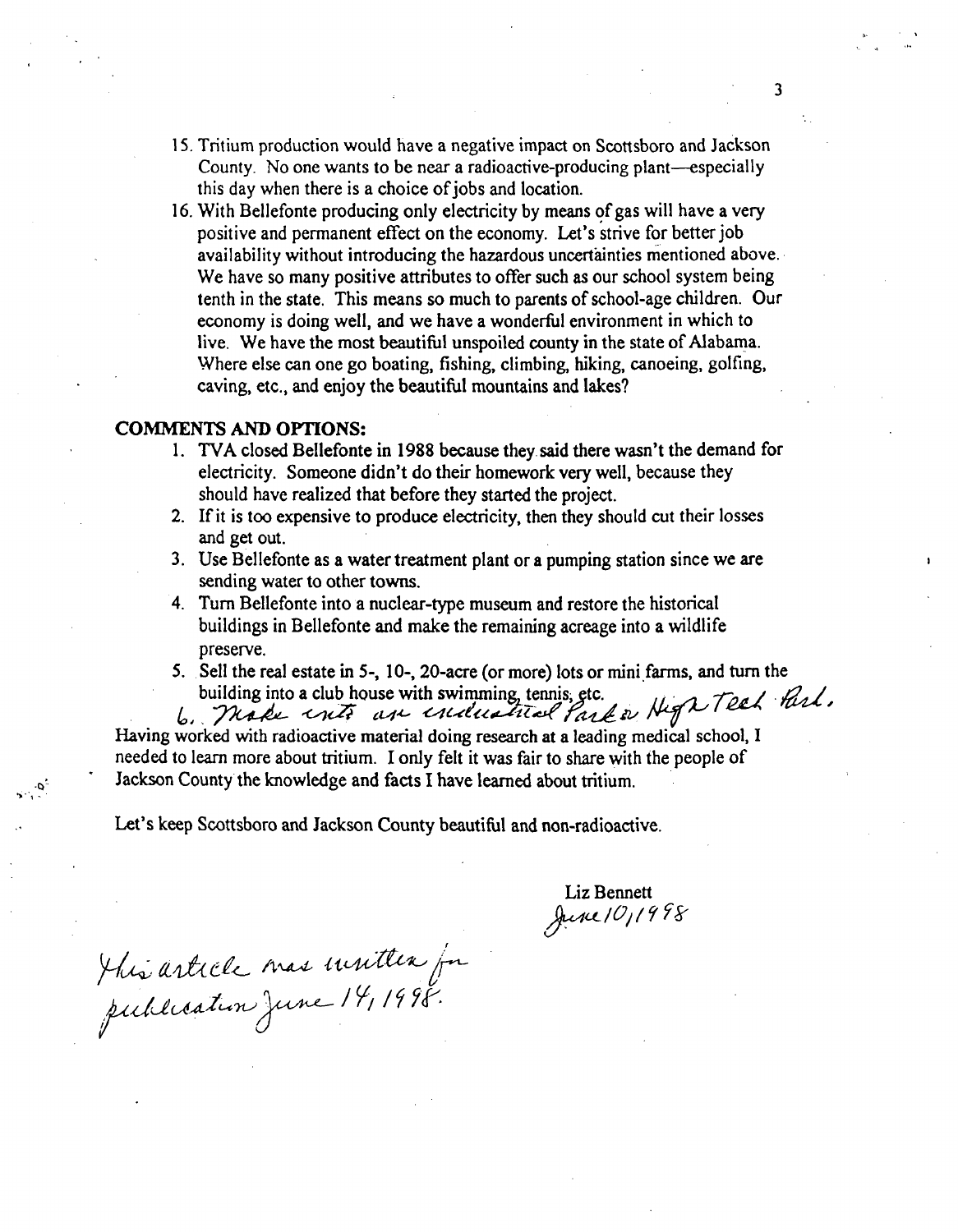- 15. Tritium production would have a negative impact on Scottsboro and Jackson County. No one wants to be near a radioactive-producing plant—especially this day when there is a choice of jobs and location.
- 16. With Bellefonte producing only electricity by means of gas will have a very positive and permanent effect on the economy. Let's strive for better job availability without introducing the hazardous uncertainties mentioned above. We have so many positive attributes to offer such as our school system being tenth in the state. This means so much to parents of school-age children. Our economy is doing well, and we have a wonderful environment in which to live. We have the most beautiful unspoiled county in the state of Alabama. Where else can one go boating, fishing, climbing, hiking, canoeing, golfing, caving, etc., and enjoy the beautiful mountains and lakes?

## COMMENTS **AND OPTIONS:**

- 1. TVA closed Bellefonte in 1988 because they said there wasn't the demand for electricity. Someone didn't do their homework very well, because they should have realized that before they started the project.
- 2. If it is too expensive to produce electricity, then they should cut their losses and get out.
- 3. Use Bellefonte as a water treatment plant or a pumping station since we are sending water to other towns.
- 4. Turn Bellefonte into a nuclear-type museum and restore the historical buildings in Bellefonte and make the remaining acreage into a wildlife preserve.
- *5.* Sell the real estate in 5-, 10-, 20-acre (or more) lots or mini farms, and turn the

building into a club house with swimming tennis, etc.<br>6. Thade with an enclosed fact or High Teel Part. Having worked with radioactive material doing research at a leading medical school, I needed to learn more about tritium. I only felt it was fair to share with the people of Jackson County the knowledge and facts I have learned about tritium.

Let's keep Scottsboro and Jackson County beautiful and non-radioactive.

Liz Bennett<br>June 101998

This article mas mutter for